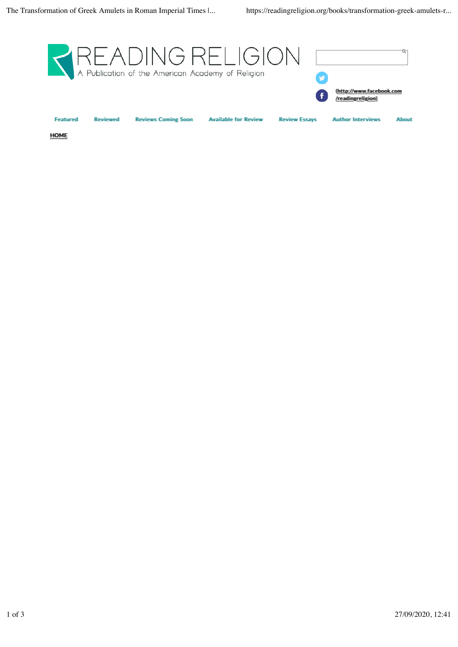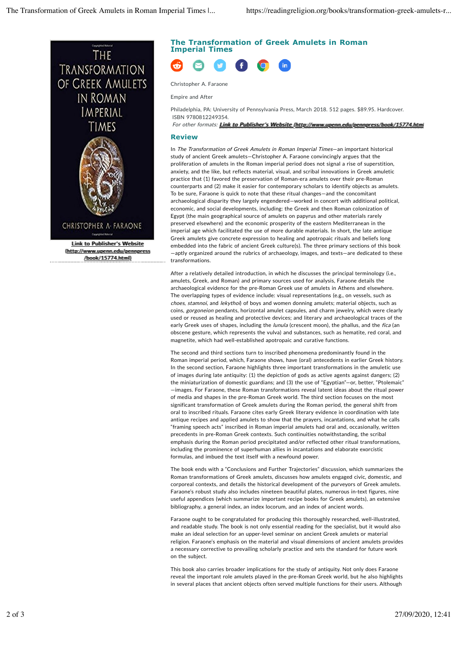

//book/15774.html

# **The Transformation of Greek Amulets in Roman Imperial Times**



Christopher A. Faraone

Empire and After

Philadelphia, PA: University of Pennsylvania Press, March 2018. 512 pages. \$89.95. Hardcover. ISBN 9780812249354.

For other formats: LLiinnk tto Puubliishheer's WWebssiite ((htttpp:///wwww.uuppennn.edluu/peennnppresss//book/15774..hhtmml

## **Review**

In The Transformation of Greek Amulets in Roman Imperial Times—an important historical study of ancient Greek amulets—Christopher A. Faraone convincingly argues that the proliferation of amulets in the Roman imperial period does not signal a rise of superstition, anxiety, and the like, but reflects material, visual, and scribal innovations in Greek amuletic practice that (1) favored the preservation of Roman-era amulets over their pre-Roman counterparts and (2) make it easier for contemporary scholars to identify objects as amulets. To be sure, Faraone is quick to note that these ritual changes—and the concomitant archaeological disparity they largely engendered—worked in concert with additional political, economic, and social developments, including: the Greek and then Roman colonization of Egypt (the main geographical source of amulets on papyrus and other materials rarely preserved elsewhere) and the economic prosperity of the eastern Mediterranean in the imperial age which facilitated the use of more durable materials. In short, the late antique Greek amulets give concrete expression to healing and apotropaic rituals and beliefs long embedded into the fabric of ancient Greek culture(s). The three primary sections of this book —aptly organized around the rubrics of archaeology, images, and texts—are dedicated to these transformations.

After a relatively detailed introduction, in which he discusses the principal terminology (i.e., amulets, Greek, and Roman) and primary sources used for analysis, Faraone details the archaeological evidence for the pre-Roman Greek use of amulets in Athens and elsewhere. The overlapping types of evidence include: visual representations (e.g., on vessels, such as choes, stamnoi, and lekythoi) of boys and women donning amulets; material objects, such as coins, gorgoneion pendants, horizontal amulet capsules, and charm jewelry, which were clearly used or reused as healing and protective devices; and literary and archaeological traces of the early Greek uses of shapes, including the lunula (crescent moon), the phallus, and the fica (an obscene gesture, which represents the vulva) and substances, such as hematite, red coral, and magnetite, which had well-established apotropaic and curative functions.

The second and third sections turn to inscribed phenomena predominantly found in the Roman imperial period, which, Faraone shows, have (oral) antecedents in earlier Greek history. In the second section, Faraone highlights three important transformations in the amuletic use of images during late antiquity: (1) the depiction of gods as active agents against dangers; (2) the miniaturization of domestic guardians; and (3) the use of "Egyptian"—or, better, "Ptolemaic" —images. For Faraone, these Roman transformations reveal latent ideas about the ritual power of media and shapes in the pre-Roman Greek world. The third section focuses on the most significant transformation of Greek amulets during the Roman period, the general shift from oral to inscribed rituals. Faraone cites early Greek literary evidence in coordination with late antique recipes and applied amulets to show that the prayers, incantations, and what he calls "framing speech acts" inscribed in Roman imperial amulets had oral and, occasionally, written precedents in pre-Roman Greek contexts. Such continuities notwithstanding, the scribal emphasis during the Roman period precipitated and/or reflected other ritual transformations, including the prominence of superhuman allies in incantations and elaborate exorcistic formulas, and imbued the text itself with a newfound power.

The book ends with a "Conclusions and Further Trajectories" discussion, which summarizes the Roman transformations of Greek amulets, discusses how amulets engaged civic, domestic, and corporeal contexts, and details the historical development of the purveyors of Greek amulets. Faraone's robust study also includes nineteen beautiful plates, numerous in-text figures, nine useful appendices (which summarize important recipe books for Greek amulets), an extensive bibliography, a general index, an index locorum, and an index of ancient words.

Faraone ought to be congratulated for producing this thoroughly researched, well-illustrated, and readable study. The book is not only essential reading for the specialist, but it would also make an ideal selection for an upper-level seminar on ancient Greek amulets or material religion. Faraone's emphasis on the material and visual dimensions of ancient amulets provides a necessary corrective to prevailing scholarly practice and sets the standard for future work on the subject.

This book also carries broader implications for the study of antiquity. Not only does Faraone reveal the important role amulets played in the pre-Roman Greek world, but he also highlights in several places that ancient objects often served multiple functions for their users. Although